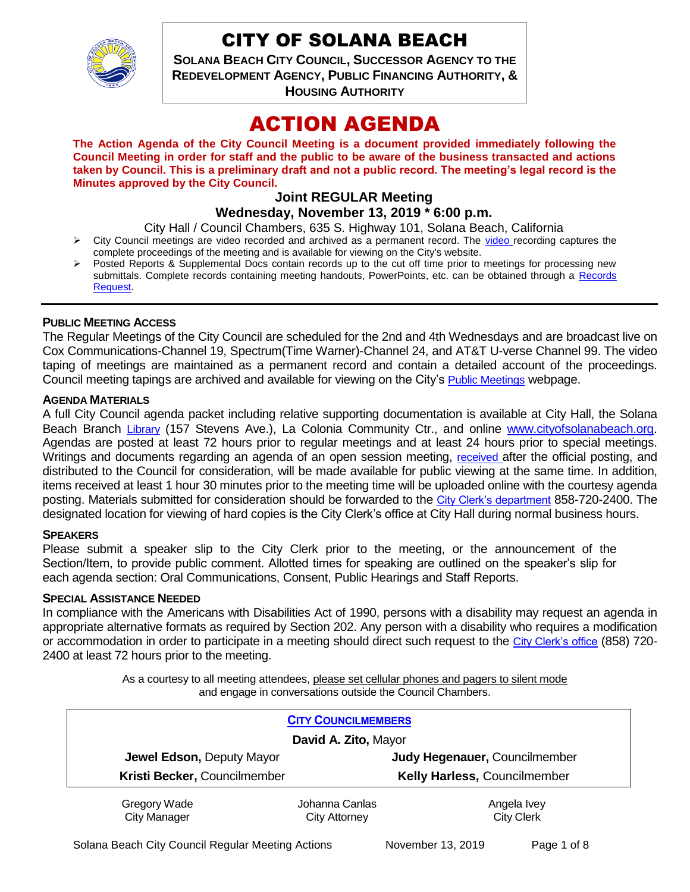

# CITY OF SOLANA BEACH

**SOLANA BEACH CITY COUNCIL, SUCCESSOR AGENCY TO THE REDEVELOPMENT AGENCY, PUBLIC FINANCING AUTHORITY, & HOUSING AUTHORITY** 

# ACTION AGENDA

**The Action Agenda of the City Council Meeting is a document provided immediately following the Council Meeting in order for staff and the public to be aware of the business transacted and actions taken by Council. This is a preliminary draft and not a public record. The meeting's legal record is the Minutes approved by the City Council.**

# **Joint REGULAR Meeting**

**Wednesday, November 13, 2019 \* 6:00 p.m.** 

City Hall / Council Chambers, 635 S. Highway 101, Solana Beach, California

- $\triangleright$  City Council meetings are [video r](https://solanabeach.12milesout.com/#page=1)ecorded and archived as a permanent record. The video recording captures the complete proceedings of the meeting and is available for viewing on the City's website.
- Posted Reports & Supplemental Docs contain records up to the cut off time prior to meetings for processing new submittals. Complete records containing meeting handouts, PowerPoints, etc. can be obtained through a Records [Request.](http://www.ci.solana-beach.ca.us/index.asp?SEC=F5D45D10-70CE-4291-A27C-7BD633FC6742&Type=B_BASIC)

## **PUBLIC MEETING ACCESS**

The Regular Meetings of the City Council are scheduled for the 2nd and 4th Wednesdays and are broadcast live on Cox Communications-Channel 19, Spectrum(Time Warner)-Channel 24, and AT&T U-verse Channel 99. The video taping of meetings are maintained as a permanent record and contain a detailed account of the proceedings. Council meeting tapings are archived and available for viewing on the City's [Public Meetings](https://www.ci.solana-beach.ca.us/index.asp?SEC=F0F1200D-21C6-4A88-8AE1-0BC07C1A81A7&Type=B_BASIC) webpage.

## **AGENDA MATERIALS**

A full City Council agenda packet including relative supporting documentation is available at City Hall, the Solana Beach Branch [Library](http://www.sdcl.org/locations_SB.html) (157 Stevens Ave.), La Colonia Community Ctr., and online [www.cityofsolanabeach.org.](http://www.cityofsolanabeach.org/) Agendas are posted at least 72 hours prior to regular meetings and at least 24 hours prior to special meetings. Writings and documents regarding an agenda of an open session meeting, [received](mailto:EMAILGRP-CityClerksOfc@cosb.org) after the official posting, and distributed to the Council for consideration, will be made available for public viewing at the same time. In addition, items received at least 1 hour 30 minutes prior to the meeting time will be uploaded online with the courtesy agenda posting. Materials submitted for consideration should be forwarded to the [City Clerk's department](mailto:EMAILGRP-CityClerksOfc@cosb.org) 858-720-2400. The designated location for viewing of hard copies is the City Clerk's office at City Hall during normal business hours.

## **SPEAKERS**

Please submit a speaker slip to the City Clerk prior to the meeting, or the announcement of the Section/Item, to provide public comment. Allotted times for speaking are outlined on the speaker's slip for each agenda section: Oral Communications, Consent, Public Hearings and Staff Reports.

#### **SPECIAL ASSISTANCE NEEDED**

In compliance with the Americans with Disabilities Act of 1990, persons with a disability may request an agenda in appropriate alternative formats as required by Section 202. Any person with a disability who requires a modification or accommodation in order to participate in a meeting should direct such request to the [City Clerk's office](mailto:clerkadmin@cosb.org?subject=City%20Clerk%20Notice%20of%20Special%20Services%20Needed) (858) 720- 2400 at least 72 hours prior to the meeting.

> As a courtesy to all meeting attendees, please set cellular phones and pagers to silent mode and engage in conversations outside the Council Chambers.

|                              | <b>CITY COUNCILMEMBERS</b> |                               |  |
|------------------------------|----------------------------|-------------------------------|--|
|                              | David A. Zito, Mayor       |                               |  |
| Jewel Edson, Deputy Mayor    |                            | Judy Hegenauer, Councilmember |  |
| Kristi Becker, Councilmember |                            | Kelly Harless, Councilmember  |  |
| Gregory Wade                 | Johanna Canlas             | Angela Ivey                   |  |
| <b>City Manager</b>          | <b>City Attorney</b>       | <b>City Clerk</b>             |  |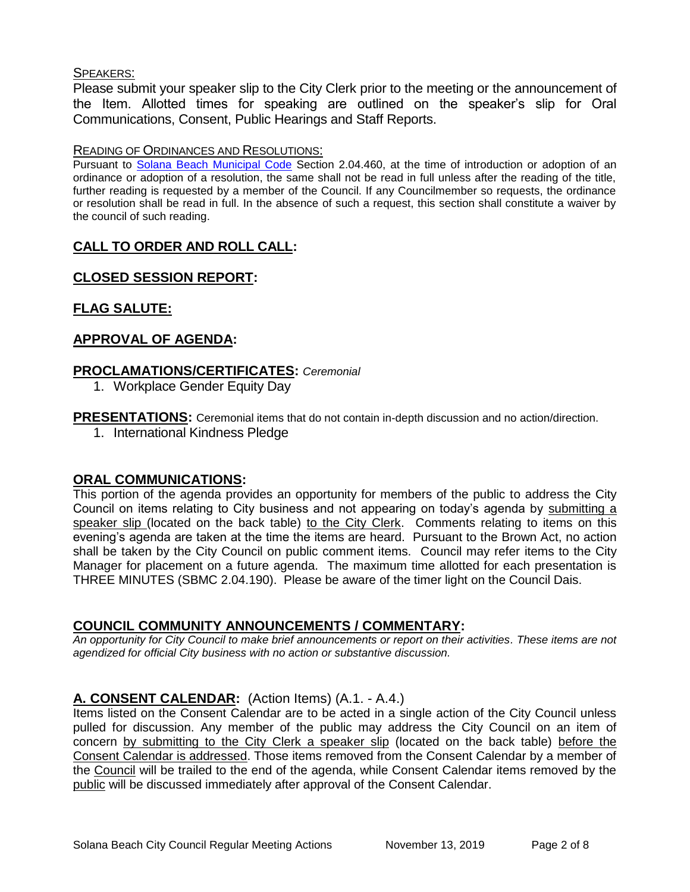## SPEAKERS:

Please submit your speaker slip to the City Clerk prior to the meeting or the announcement of the Item. Allotted times for speaking are outlined on the speaker's slip for Oral Communications, Consent, Public Hearings and Staff Reports.

## READING OF ORDINANCES AND RESOLUTIONS:

Pursuant to [Solana Beach Municipal Code](mailto:https://www.codepublishing.com/CA/SolanaBeach/) Section 2.04.460, at the time of introduction or adoption of an ordinance or adoption of a resolution, the same shall not be read in full unless after the reading of the title, further reading is requested by a member of the Council. If any Councilmember so requests, the ordinance or resolution shall be read in full. In the absence of such a request, this section shall constitute a waiver by the council of such reading.

# **CALL TO ORDER AND ROLL CALL:**

# **CLOSED SESSION REPORT:**

# **FLAG SALUTE:**

# **APPROVAL OF AGENDA:**

## **PROCLAMATIONS/CERTIFICATES:** *Ceremonial*

1. Workplace Gender Equity Day

**PRESENTATIONS:** Ceremonial items that do not contain in-depth discussion and no action/direction.

1. International Kindness Pledge

## **ORAL COMMUNICATIONS:**

This portion of the agenda provides an opportunity for members of the public to address the City Council on items relating to City business and not appearing on today's agenda by submitting a speaker slip (located on the back table) to the City Clerk. Comments relating to items on this evening's agenda are taken at the time the items are heard. Pursuant to the Brown Act, no action shall be taken by the City Council on public comment items. Council may refer items to the City Manager for placement on a future agenda. The maximum time allotted for each presentation is THREE MINUTES (SBMC 2.04.190). Please be aware of the timer light on the Council Dais.

# **COUNCIL COMMUNITY ANNOUNCEMENTS / COMMENTARY:**

*An opportunity for City Council to make brief announcements or report on their activities. These items are not agendized for official City business with no action or substantive discussion.* 

# **A. CONSENT CALENDAR:** (Action Items) (A.1. - A.4.)

Items listed on the Consent Calendar are to be acted in a single action of the City Council unless pulled for discussion. Any member of the public may address the City Council on an item of concern by submitting to the City Clerk a speaker slip (located on the back table) before the Consent Calendar is addressed. Those items removed from the Consent Calendar by a member of the Council will be trailed to the end of the agenda, while Consent Calendar items removed by the public will be discussed immediately after approval of the Consent Calendar.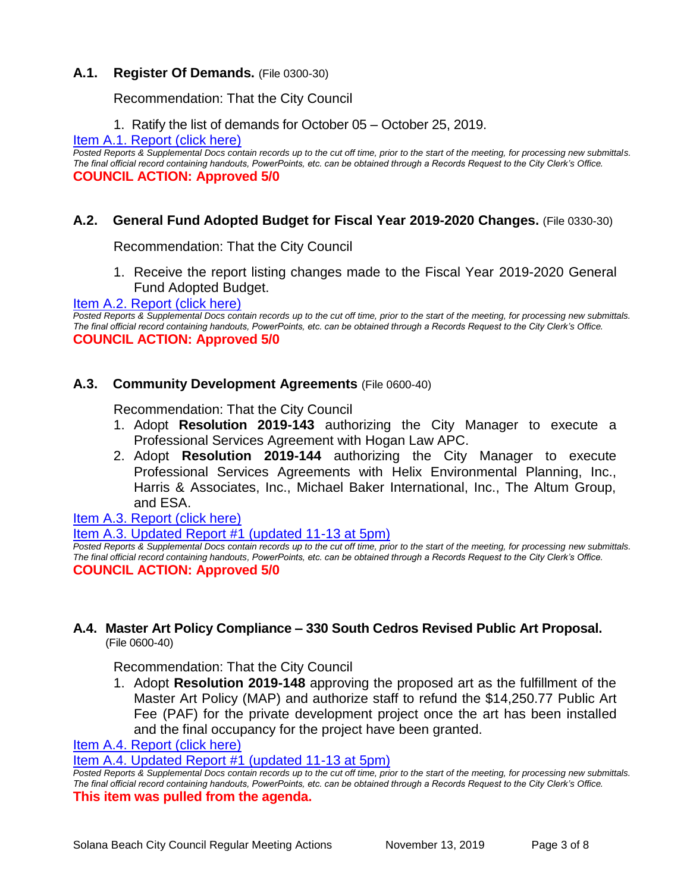## **A.1. Register Of Demands.** (File 0300-30)

Recommendation: That the City Council

1. Ratify the list of demands for October 05 – October 25, 2019.

[Item A.1. Report \(click here\)](https://solanabeach.govoffice3.com/vertical/Sites/%7B840804C2-F869-4904-9AE3-720581350CE7%7D/uploads/Item_A.1._Report_(click_here)_11-13-19_-_O.pdf)

*Posted Reports & Supplemental Docs contain records up to the cut off time, prior to the start of the meeting, for processing new submittals. The final official record containing handouts, PowerPoints, etc. can be obtained through a Records Request to the City Clerk's Office.* **COUNCIL ACTION: Approved 5/0**

## **A.2. General Fund Adopted Budget for Fiscal Year 2019-2020 Changes.** (File 0330-30)

Recommendation: That the City Council

1. Receive the report listing changes made to the Fiscal Year 2019-2020 General Fund Adopted Budget.

[Item A.2. Report \(click here\)](https://solanabeach.govoffice3.com/vertical/Sites/%7B840804C2-F869-4904-9AE3-720581350CE7%7D/uploads/Item_A.2._Report_(click_here)_11-13-19_-_O.pdf)

*Posted Reports & Supplemental Docs contain records up to the cut off time, prior to the start of the meeting, for processing new submittals. The final official record containing handouts, PowerPoints, etc. can be obtained through a Records Request to the City Clerk's Office.* **COUNCIL ACTION: Approved 5/0**

## **A.3. Community Development Agreements** (File 0600-40)

Recommendation: That the City Council

- 1. Adopt **Resolution 2019-143** authorizing the City Manager to execute a Professional Services Agreement with Hogan Law APC.
- 2. Adopt **Resolution 2019-144** authorizing the City Manager to execute Professional Services Agreements with Helix Environmental Planning, Inc., Harris & Associates, Inc., Michael Baker International, Inc., The Altum Group, and ESA.

[Item A.3. Report \(click here\)](https://solanabeach.govoffice3.com/vertical/Sites/%7B840804C2-F869-4904-9AE3-720581350CE7%7D/uploads/Item_A.3._Report_(click_here)_11-13-19_-_O.pdf)

[Item A.3. Updated Report #1 \(updated 11-13 at 5pm\)](https://solanabeach.govoffice3.com/vertical/Sites/%7B840804C2-F869-4904-9AE3-720581350CE7%7D/uploads/A.3._Updated_Report_1.pdf)

*Posted Reports & Supplemental Docs contain records up to the cut off time, prior to the start of the meeting, for processing new submittals. The final official record containing handouts, PowerPoints, etc. can be obtained through a Records Request to the City Clerk's Office.* **COUNCIL ACTION: Approved 5/0**

#### **A.4. Master Art Policy Compliance – 330 South Cedros Revised Public Art Proposal.** (File 0600-40)

Recommendation: That the City Council

1. Adopt **Resolution 2019-148** approving the proposed art as the fulfillment of the Master Art Policy (MAP) and authorize staff to refund the \$14,250.77 Public Art Fee (PAF) for the private development project once the art has been installed and the final occupancy for the project have been granted.

[Item A.4. Report \(click here\)](https://solanabeach.govoffice3.com/vertical/Sites/%7B840804C2-F869-4904-9AE3-720581350CE7%7D/uploads/Item_A.4._Report_(click_here)_11-13-19_-_O.pdf)

[Item A.4. Updated Report #1 \(updated 11-13 at 5pm\)](https://solanabeach.govoffice3.com/vertical/Sites/%7B840804C2-F869-4904-9AE3-720581350CE7%7D/uploads/Item_A.4._Supplemenal_Doc_(updated_11-13).pdf)

*Posted Reports & Supplemental Docs contain records up to the cut off time, prior to the start of the meeting, for processing new submittals. The final official record containing handouts, PowerPoints, etc. can be obtained through a Records Request to the City Clerk's Office.* **This item was pulled from the agenda.**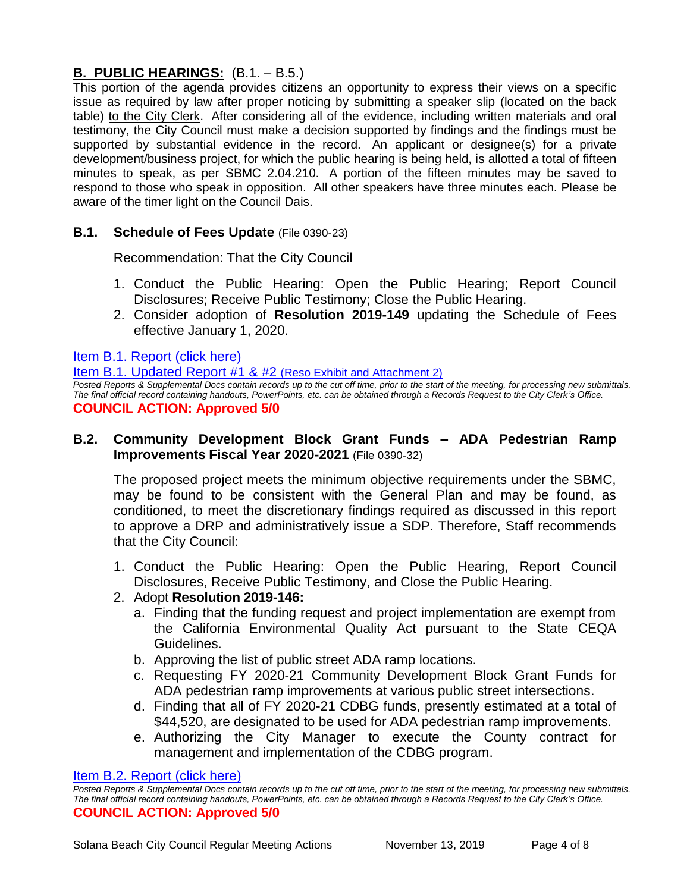# **B. PUBLIC HEARINGS:** (B.1. – B.5.)

This portion of the agenda provides citizens an opportunity to express their views on a specific issue as required by law after proper noticing by submitting a speaker slip (located on the back table) to the City Clerk. After considering all of the evidence, including written materials and oral testimony, the City Council must make a decision supported by findings and the findings must be supported by substantial evidence in the record. An applicant or designee(s) for a private development/business project, for which the public hearing is being held, is allotted a total of fifteen minutes to speak, as per SBMC 2.04.210. A portion of the fifteen minutes may be saved to respond to those who speak in opposition. All other speakers have three minutes each. Please be aware of the timer light on the Council Dais.

# **B.1. Schedule of Fees Update** (File 0390-23)

Recommendation: That the City Council

- 1. Conduct the Public Hearing: Open the Public Hearing; Report Council Disclosures; Receive Public Testimony; Close the Public Hearing.
- 2. Consider adoption of **Resolution 2019-149** updating the Schedule of Fees effective January 1, 2020.

[Item B.1. Report \(click here\)](https://solanabeach.govoffice3.com/vertical/Sites/%7B840804C2-F869-4904-9AE3-720581350CE7%7D/uploads/Item_B.1._Report_(click_here)_11-13-19_-_O.pdf)

[Item B.1. Updated Report #1 & #2](https://solanabeach.govoffice3.com/vertical/Sites/%7B840804C2-F869-4904-9AE3-720581350CE7%7D/uploads/Item_B.1._Staff_Report_Updates_(11-13_at_440pm).pdf) (Reso Exhibit and Attachment 2)

*Posted Reports & Supplemental Docs contain records up to the cut off time, prior to the start of the meeting, for processing new submittals. The final official record containing handouts, PowerPoints, etc. can be obtained through a Records Request to the City Clerk's Office.* **COUNCIL ACTION: Approved 5/0**

## **B.2. Community Development Block Grant Funds – ADA Pedestrian Ramp Improvements Fiscal Year 2020-2021** (File 0390-32)

The proposed project meets the minimum objective requirements under the SBMC, may be found to be consistent with the General Plan and may be found, as conditioned, to meet the discretionary findings required as discussed in this report to approve a DRP and administratively issue a SDP. Therefore, Staff recommends that the City Council:

1. Conduct the Public Hearing: Open the Public Hearing, Report Council Disclosures, Receive Public Testimony, and Close the Public Hearing.

# 2. Adopt **Resolution 2019-146:**

- a. Finding that the funding request and project implementation are exempt from the California Environmental Quality Act pursuant to the State CEQA Guidelines.
- b. Approving the list of public street ADA ramp locations.
- c. Requesting FY 2020-21 Community Development Block Grant Funds for ADA pedestrian ramp improvements at various public street intersections.
- d. Finding that all of FY 2020-21 CDBG funds, presently estimated at a total of \$44,520, are designated to be used for ADA pedestrian ramp improvements.
- e. Authorizing the City Manager to execute the County contract for management and implementation of the CDBG program.

[Item B.2. Report \(click here\)](https://solanabeach.govoffice3.com/vertical/Sites/%7B840804C2-F869-4904-9AE3-720581350CE7%7D/uploads/Item_B.2._Report_(click_here)_11-13-19_-_O.pdf)

*Posted Reports & Supplemental Docs contain records up to the cut off time, prior to the start of the meeting, for processing new submittals. The final official record containing handouts, PowerPoints, etc. can be obtained through a Records Request to the City Clerk's Office.* **COUNCIL ACTION: Approved 5/0**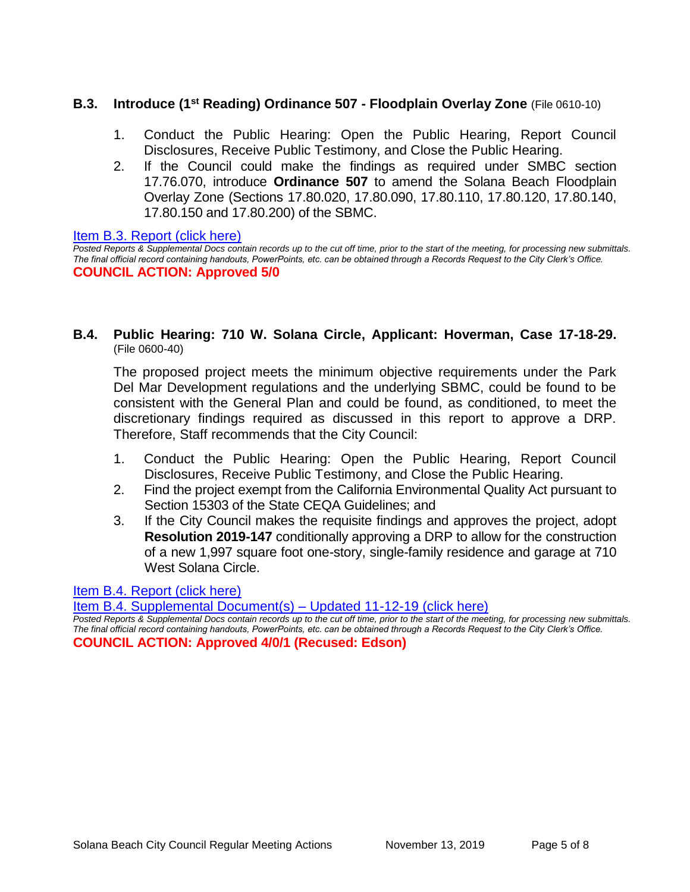## **B.3. Introduce (1st Reading) Ordinance 507 - Floodplain Overlay Zone** (File 0610-10)

- 1. Conduct the Public Hearing: Open the Public Hearing, Report Council Disclosures, Receive Public Testimony, and Close the Public Hearing.
- 2. If the Council could make the findings as required under SMBC section 17.76.070, introduce **Ordinance 507** to amend the Solana Beach Floodplain Overlay Zone (Sections 17.80.020, 17.80.090, 17.80.110, 17.80.120, 17.80.140, 17.80.150 and 17.80.200) of the SBMC.

#### [Item B.3. Report \(click here\)](https://solanabeach.govoffice3.com/vertical/Sites/%7B840804C2-F869-4904-9AE3-720581350CE7%7D/uploads/Item_B.3._Report_(click_here)_11-13-19.-_O.pdf)

*Posted Reports & Supplemental Docs contain records up to the cut off time, prior to the start of the meeting, for processing new submittals. The final official record containing handouts, PowerPoints, etc. can be obtained through a Records Request to the City Clerk's Office.* **COUNCIL ACTION: Approved 5/0**

## **B.4. Public Hearing: 710 W. Solana Circle, Applicant: Hoverman, Case 17-18-29.** (File 0600-40)

The proposed project meets the minimum objective requirements under the Park Del Mar Development regulations and the underlying SBMC, could be found to be consistent with the General Plan and could be found, as conditioned, to meet the discretionary findings required as discussed in this report to approve a DRP. Therefore, Staff recommends that the City Council:

- 1. Conduct the Public Hearing: Open the Public Hearing, Report Council Disclosures, Receive Public Testimony, and Close the Public Hearing.
- 2. Find the project exempt from the California Environmental Quality Act pursuant to Section 15303 of the State CEQA Guidelines; and
- 3. If the City Council makes the requisite findings and approves the project, adopt **Resolution 2019-147** conditionally approving a DRP to allow for the construction of a new 1,997 square foot one-story, single-family residence and garage at 710 West Solana Circle.

[Item B.4. Report \(click here\)](https://solanabeach.govoffice3.com/vertical/Sites/%7B840804C2-F869-4904-9AE3-720581350CE7%7D/uploads/Item_B.4._Report_(click_here)_11-13-19_-_O.pdf)

[Item B.4. Supplemental Document\(s\) –](https://solanabeach.govoffice3.com/vertical/Sites/%7B840804C2-F869-4904-9AE3-720581350CE7%7D/uploads/Item_B.4._Supplemental_Documents_(upd._11-12).pdf) Updated 11-12-19 (click here)

*Posted Reports & Supplemental Docs contain records up to the cut off time, prior to the start of the meeting, for processing new submittals. The final official record containing handouts, PowerPoints, etc. can be obtained through a Records Request to the City Clerk's Office.* **COUNCIL ACTION: Approved 4/0/1 (Recused: Edson)**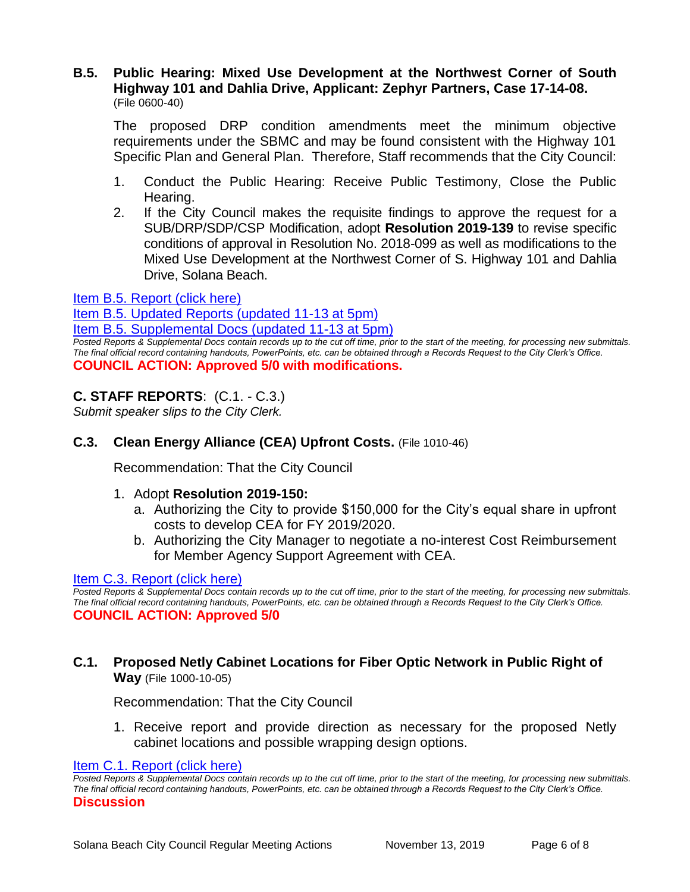## **B.5. Public Hearing: Mixed Use Development at the Northwest Corner of South Highway 101 and Dahlia Drive, Applicant: Zephyr Partners, Case 17-14-08.** (File 0600-40)

The proposed DRP condition amendments meet the minimum objective requirements under the SBMC and may be found consistent with the Highway 101 Specific Plan and General Plan. Therefore, Staff recommends that the City Council:

- 1. Conduct the Public Hearing: Receive Public Testimony, Close the Public Hearing.
- 2. If the City Council makes the requisite findings to approve the request for a SUB/DRP/SDP/CSP Modification, adopt **Resolution 2019-139** to revise specific conditions of approval in Resolution No. 2018-099 as well as modifications to the Mixed Use Development at the Northwest Corner of S. Highway 101 and Dahlia Drive, Solana Beach.

## [Item B.5. Report \(click here\)](https://solanabeach.govoffice3.com/vertical/Sites/%7B840804C2-F869-4904-9AE3-720581350CE7%7D/uploads/Item_B.5._Report_(click_here)_11-13-19_-_O.pdf)

[Item B.5. Updated Reports](https://solanabeach.govoffice3.com/vertical/Sites/%7B840804C2-F869-4904-9AE3-720581350CE7%7D/uploads/B.5._Updated_Reports_(updated_11-13_at_510pm).pdf) (updated 11-13 at 5pm)

[Item B.5. Supplemental Docs \(updated 11-13](https://solanabeach.govoffice3.com/vertical/Sites/%7B840804C2-F869-4904-9AE3-720581350CE7%7D/uploads/Item_B.5._Supplemental_Docs_(upd._11-13_at_915am)(1).pdf) at 5pm)

*Posted Reports & Supplemental Docs contain records up to the cut off time, prior to the start of the meeting, for processing new submittals. The final official record containing handouts, PowerPoints, etc. can be obtained through a Records Request to the City Clerk's Office.* **COUNCIL ACTION: Approved 5/0 with modifications.**

# **C. STAFF REPORTS**: (C.1. - C.3.)

*Submit speaker slips to the City Clerk.*

# **C.3. Clean Energy Alliance (CEA) Upfront Costs.** (File 1010-46)

Recommendation: That the City Council

## 1. Adopt **Resolution 2019-150:**

- a. Authorizing the City to provide \$150,000 for the City's equal share in upfront costs to develop CEA for FY 2019/2020.
- b. Authorizing the City Manager to negotiate a no-interest Cost Reimbursement for Member Agency Support Agreement with CEA.

## [Item C.3. Report \(click here\)](https://solanabeach.govoffice3.com/vertical/Sites/%7B840804C2-F869-4904-9AE3-720581350CE7%7D/uploads/Item_C.3._Report_(click_here)_11-13-19_-_O.pdf)

*Posted Reports & Supplemental Docs contain records up to the cut off time, prior to the start of the meeting, for processing new submittals. The final official record containing handouts, PowerPoints, etc. can be obtained through a Records Request to the City Clerk's Office.* **COUNCIL ACTION: Approved 5/0**

## **C.1. Proposed Netly Cabinet Locations for Fiber Optic Network in Public Right of Way** (File 1000-10-05)

Recommendation: That the City Council

1. Receive report and provide direction as necessary for the proposed Netly cabinet locations and possible wrapping design options.

[Item C.1. Report \(click here\)](https://solanabeach.govoffice3.com/vertical/Sites/%7B840804C2-F869-4904-9AE3-720581350CE7%7D/uploads/Item_C.1._Report_(click_here)_11-13-19_-_O.pdf)

*Posted Reports & Supplemental Docs contain records up to the cut off time, prior to the start of the meeting, for processing new submittals. The final official record containing handouts, PowerPoints, etc. can be obtained through a Records Request to the City Clerk's Office.* **Discussion**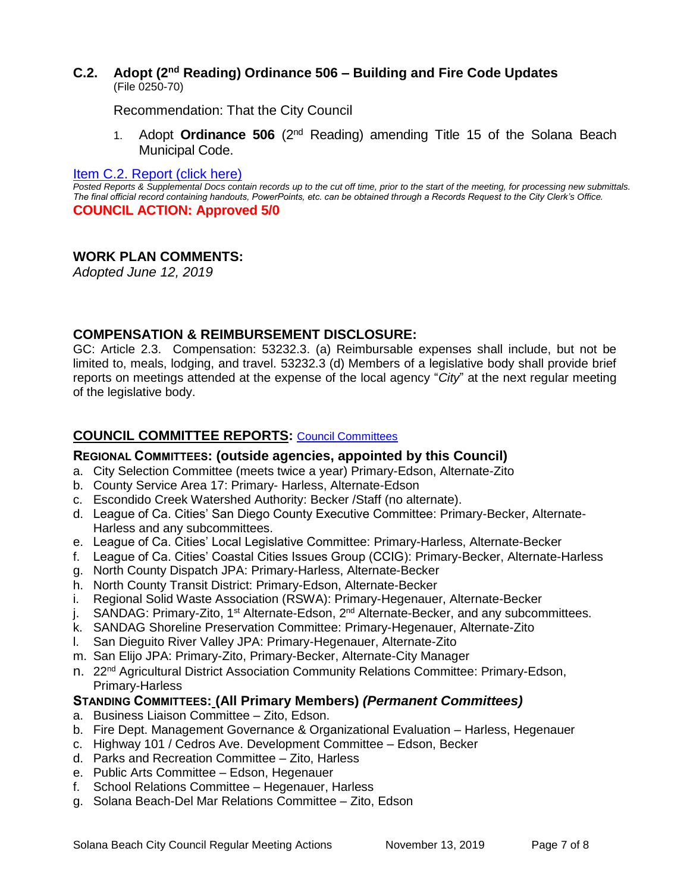## **C.2. Adopt (2nd Reading) Ordinance 506 – Building and Fire Code Updates** (File 0250-70)

Recommendation: That the City Council

1. Adopt **Ordinance 506** (2nd Reading) amending Title 15 of the Solana Beach Municipal Code.

#### [Item C.2. Report \(click here\)](https://solanabeach.govoffice3.com/vertical/Sites/%7B840804C2-F869-4904-9AE3-720581350CE7%7D/uploads/Item_C.2._Report_(click_here)_11-13-19_-_O.pdf)

*Posted Reports & Supplemental Docs contain records up to the cut off time, prior to the start of the meeting, for processing new submittals. The final official record containing handouts, PowerPoints, etc. can be obtained through a Records Request to the City Clerk's Office.* **COUNCIL ACTION: Approved 5/0**

## **WORK PLAN COMMENTS:**

*Adopted June 12, 2019*

## **COMPENSATION & REIMBURSEMENT DISCLOSURE:**

GC: Article 2.3. Compensation: 53232.3. (a) Reimbursable expenses shall include, but not be limited to, meals, lodging, and travel. 53232.3 (d) Members of a legislative body shall provide brief reports on meetings attended at the expense of the local agency "*City*" at the next regular meeting of the legislative body.

## **COUNCIL COMMITTEE REPORTS:** [Council Committees](https://www.ci.solana-beach.ca.us/index.asp?SEC=584E1192-3850-46EA-B977-088AC3E81E0D&Type=B_BASIC)

## **REGIONAL COMMITTEES: (outside agencies, appointed by this Council)**

- a. City Selection Committee (meets twice a year) Primary-Edson, Alternate-Zito
- b. County Service Area 17: Primary- Harless, Alternate-Edson
- c. Escondido Creek Watershed Authority: Becker /Staff (no alternate).
- d. League of Ca. Cities' San Diego County Executive Committee: Primary-Becker, Alternate-Harless and any subcommittees.
- e. League of Ca. Cities' Local Legislative Committee: Primary-Harless, Alternate-Becker
- f. League of Ca. Cities' Coastal Cities Issues Group (CCIG): Primary-Becker, Alternate-Harless
- g. North County Dispatch JPA: Primary-Harless, Alternate-Becker
- h. North County Transit District: Primary-Edson, Alternate-Becker
- i. Regional Solid Waste Association (RSWA): Primary-Hegenauer, Alternate-Becker
- j. SANDAG: Primary-Zito, 1<sup>st</sup> Alternate-Edson, 2<sup>nd</sup> Alternate-Becker, and any subcommittees.
- k. SANDAG Shoreline Preservation Committee: Primary-Hegenauer, Alternate-Zito
- l. San Dieguito River Valley JPA: Primary-Hegenauer, Alternate-Zito
- m. San Elijo JPA: Primary-Zito, Primary-Becker, Alternate-City Manager
- n. 22nd Agricultural District Association Community Relations Committee: Primary-Edson, Primary-Harless

## **STANDING COMMITTEES: (All Primary Members)** *(Permanent Committees)*

- a. Business Liaison Committee Zito, Edson.
- b. Fire Dept. Management Governance & Organizational Evaluation Harless, Hegenauer
- c. Highway 101 / Cedros Ave. Development Committee Edson, Becker
- d. Parks and Recreation Committee Zito, Harless
- e. Public Arts Committee Edson, Hegenauer
- f. School Relations Committee Hegenauer, Harless
- g. Solana Beach-Del Mar Relations Committee Zito, Edson